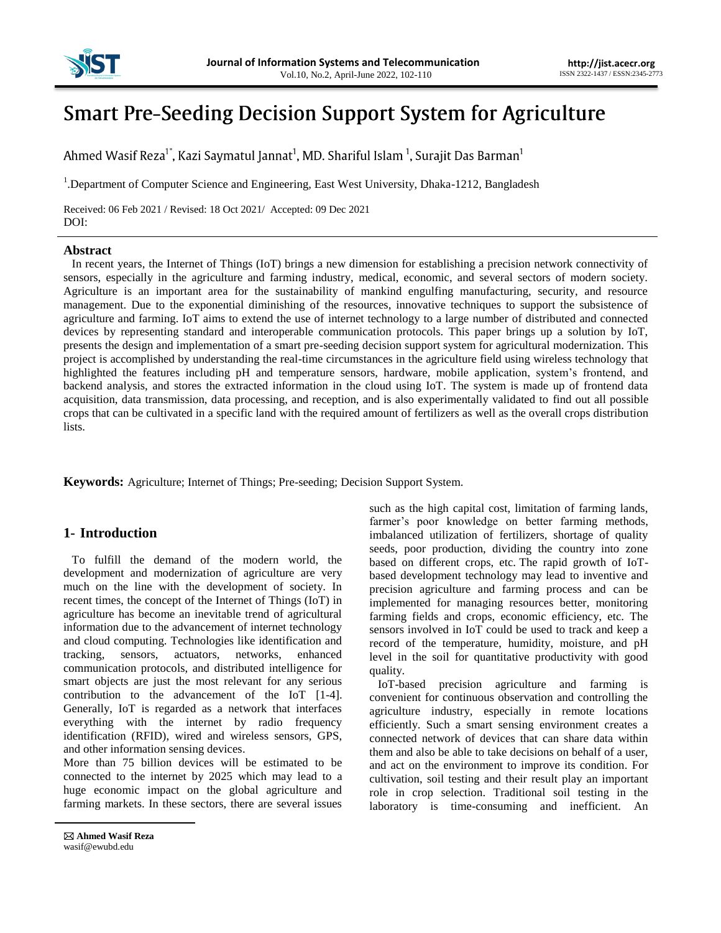

# **Smart Pre-Seeding Decision Support System for Agriculture**

Ahmed Wasif Reza<sup>1\*</sup>, Kazi Saymatul Jannat<sup>1</sup>, MD. Shariful Islam<sup>1</sup>, Surajit Das Barman<sup>1</sup>

<sup>1</sup>. Department of Computer Science and Engineering, East West University, Dhaka-1212, Bangladesh

Received: 06 Feb 2021 / Revised: 18 Oct 2021/ Accepted: 09 Dec 2021 DOI:

#### **Abstract**

In recent years, the Internet of Things (IoT) brings a new dimension for establishing a precision network connectivity of sensors, especially in the agriculture and farming industry, medical, economic, and several sectors of modern society. Agriculture is an important area for the sustainability of mankind engulfing manufacturing, security, and resource management. Due to the exponential diminishing of the resources, innovative techniques to support the subsistence of agriculture and farming. IoT aims to extend the use of internet technology to a large number of distributed and connected devices by representing standard and interoperable communication protocols. This paper brings up a solution by IoT, presents the design and implementation of a smart pre-seeding decision support system for agricultural modernization. This project is accomplished by understanding the real-time circumstances in the agriculture field using wireless technology that highlighted the features including pH and temperature sensors, hardware, mobile application, system's frontend, and backend analysis, and stores the extracted information in the cloud using IoT. The system is made up of frontend data acquisition, data transmission, data processing, and reception, and is also experimentally validated to find out all possible crops that can be cultivated in a specific land with the required amount of fertilizers as well as the overall crops distribution lists.

**Keywords:** Agriculture; Internet of Things; Pre-seeding; Decision Support System.

## **1- Introduction**

To fulfill the demand of the modern world, the development and modernization of agriculture are very much on the line with the development of society. In recent times, the concept of the Internet of Things (IoT) in agriculture has become an inevitable trend of agricultural information due to the advancement of internet technology and cloud computing. Technologies like identification and tracking, sensors, actuators, networks, enhanced communication protocols, and distributed intelligence for smart objects are just the most relevant for any serious contribution to the advancement of the IoT [1-4]. Generally, IoT is regarded as a network that interfaces everything with the internet by radio frequency identification (RFID), wired and wireless sensors, GPS, and other information sensing devices.

More than 75 billion devices will be estimated to be connected to the internet by 2025 which may lead to a huge economic impact on the global agriculture and farming markets. In these sectors, there are several issues

 **Ahmed Wasif Reza** wasif@ewubd.edu

such as the high capital cost, limitation of farming lands, farmer's poor knowledge on better farming methods, imbalanced utilization of fertilizers, shortage of quality seeds, poor production, dividing the country into zone based on different crops, etc. The rapid growth of IoTbased development technology may lead to inventive and precision agriculture and farming process and can be implemented for managing resources better, monitoring farming fields and crops, economic efficiency, etc. The sensors involved in IoT could be used to track and keep a record of the temperature, humidity, moisture, and pH level in the soil for quantitative productivity with good quality.

IoT-based precision agriculture and farming is convenient for continuous observation and controlling the agriculture industry, especially in remote locations efficiently. Such a smart sensing environment creates a connected network of devices that can share data within them and also be able to take decisions on behalf of a user, and act on the environment to improve its condition. For cultivation, soil testing and their result play an important role in crop selection. Traditional soil testing in the laboratory is time-consuming and inefficient. An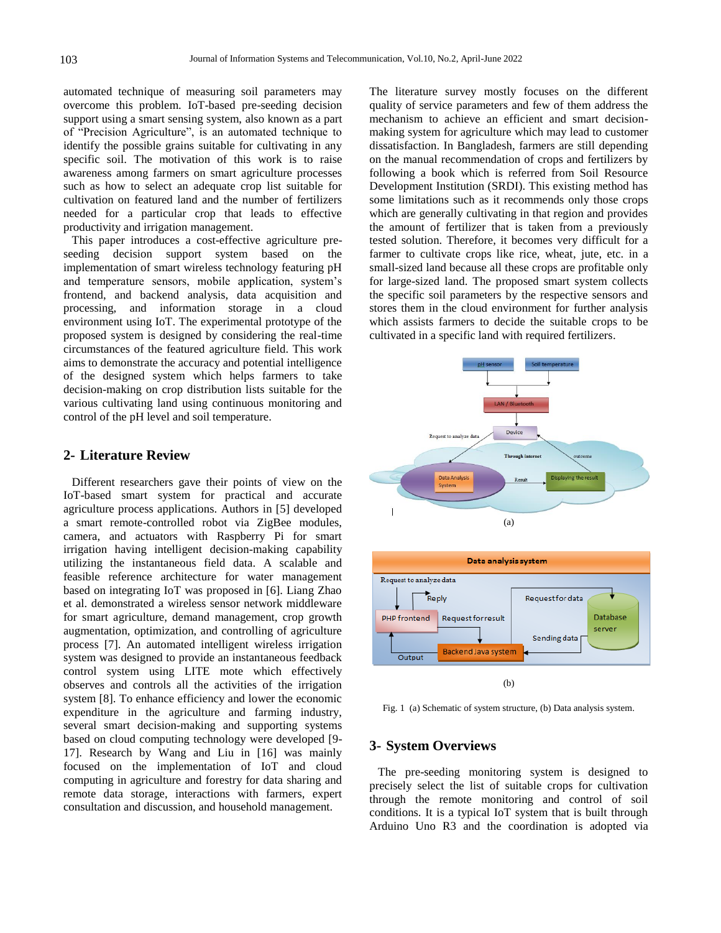automated technique of measuring soil parameters may overcome this problem. IoT-based pre-seeding decision support using a smart sensing system, also known as a part of "Precision Agriculture", is an automated technique to identify the possible grains suitable for cultivating in any specific soil. The motivation of this work is to raise awareness among farmers on smart agriculture processes such as how to select an adequate crop list suitable for cultivation on featured land and the number of fertilizers needed for a particular crop that leads to effective productivity and irrigation management.

This paper introduces a cost-effective agriculture preseeding decision support system based on the implementation of smart wireless technology featuring pH and temperature sensors, mobile application, system's frontend, and backend analysis, data acquisition and processing, and information storage in a cloud environment using IoT. The experimental prototype of the proposed system is designed by considering the real-time circumstances of the featured agriculture field. This work aims to demonstrate the accuracy and potential intelligence of the designed system which helps farmers to take decision-making on crop distribution lists suitable for the various cultivating land using continuous monitoring and control of the pH level and soil temperature.

### **2- Literature Review**

Different researchers gave their points of view on the IoT-based smart system for practical and accurate agriculture process applications. Authors in [5] developed a smart remote-controlled robot via ZigBee modules, camera, and actuators with Raspberry Pi for smart irrigation having intelligent decision-making capability utilizing the instantaneous field data. A scalable and feasible reference architecture for water management based on integrating IoT was proposed in [6]. Liang Zhao et al. demonstrated a wireless sensor network middleware for smart agriculture, demand management, crop growth augmentation, optimization, and controlling of agriculture process [7]. An automated intelligent wireless irrigation system was designed to provide an instantaneous feedback control system using LITE mote which effectively observes and controls all the activities of the irrigation system [8]. To enhance efficiency and lower the economic expenditure in the agriculture and farming industry, several smart decision-making and supporting systems based on cloud computing technology were developed [9- 17]. Research by Wang and Liu in [16] was mainly focused on the implementation of IoT and cloud computing in agriculture and forestry for data sharing and remote data storage, interactions with farmers, expert consultation and discussion, and household management.

The literature survey mostly focuses on the different quality of service parameters and few of them address the mechanism to achieve an efficient and smart decisionmaking system for agriculture which may lead to customer dissatisfaction. In Bangladesh, farmers are still depending on the manual recommendation of crops and fertilizers by following a book which is referred from Soil Resource Development Institution (SRDI). This existing method has some limitations such as it recommends only those crops which are generally cultivating in that region and provides the amount of fertilizer that is taken from a previously tested solution. Therefore, it becomes very difficult for a farmer to cultivate crops like rice, wheat, jute, etc. in a small-sized land because all these crops are profitable only for large-sized land. The proposed smart system collects the specific soil parameters by the respective sensors and stores them in the cloud environment for further analysis which assists farmers to decide the suitable crops to be cultivated in a specific land with required fertilizers.



Fig. 1 (a) Schematic of system structure, (b) Data analysis system.

#### **3- System Overviews**

The pre-seeding monitoring system is designed to precisely select the list of suitable crops for cultivation through the remote monitoring and control of soil conditions. It is a typical IoT system that is built through Arduino Uno R3 and the coordination is adopted via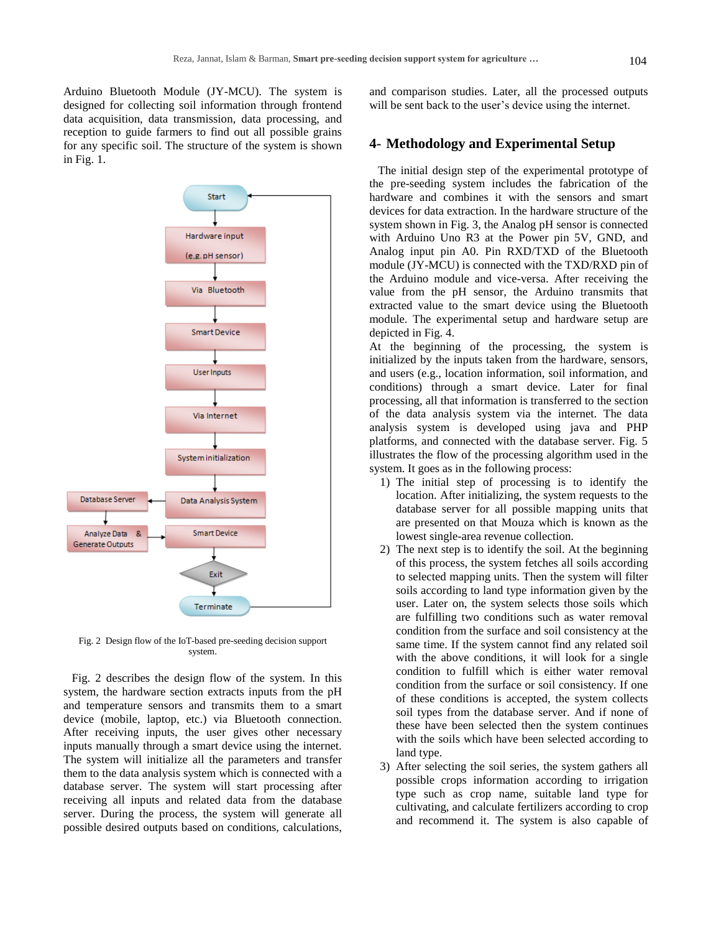Arduino Bluetooth Module (JY-MCU). The system is designed for collecting soil information through frontend data acquisition, data transmission, data processing, and reception to guide farmers to find out all possible grains for any specific soil. The structure of the system is shown in Fig. 1.



Fig. 2 Design flow of the IoT-based pre-seeding decision support system.

Fig. 2 describes the design flow of the system. In this system, the hardware section extracts inputs from the pH and temperature sensors and transmits them to a smart device (mobile, laptop, etc.) via Bluetooth connection. After receiving inputs, the user gives other necessary inputs manually through a smart device using the internet. The system will initialize all the parameters and transfer them to the data analysis system which is connected with a database server. The system will start processing after receiving all inputs and related data from the database server. During the process, the system will generate all possible desired outputs based on conditions, calculations, and comparison studies. Later, all the processed outputs will be sent back to the user's device using the internet.

#### **4- Methodology and Experimental Setup**

The initial design step of the experimental prototype of the pre-seeding system includes the fabrication of the hardware and combines it with the sensors and smart devices for data extraction. In the hardware structure of the system shown in Fig. 3, the Analog pH sensor is connected with Arduino Uno R3 at the Power pin 5V, GND, and Analog input pin A0. Pin RXD/TXD of the Bluetooth module (JY-MCU) is connected with the TXD/RXD pin of the Arduino module and vice-versa. After receiving the value from the pH sensor, the Arduino transmits that extracted value to the smart device using the Bluetooth module. The experimental setup and hardware setup are depicted in Fig. 4.

At the beginning of the processing, the system is initialized by the inputs taken from the hardware, sensors, and users (e.g., location information, soil information, and conditions) through a smart device. Later for final processing, all that information is transferred to the section of the data analysis system via the internet. The data analysis system is developed using java and PHP platforms, and connected with the database server. Fig. 5 illustrates the flow of the processing algorithm used in the system. It goes as in the following process:

- 1) The initial step of processing is to identify the location. After initializing, the system requests to the database server for all possible mapping units that are presented on that Mouza which is known as the lowest single-area revenue collection.
- 2) The next step is to identify the soil. At the beginning of this process, the system fetches all soils according to selected mapping units. Then the system will filter soils according to land type information given by the user. Later on, the system selects those soils which are fulfilling two conditions such as water removal condition from the surface and soil consistency at the same time. If the system cannot find any related soil with the above conditions, it will look for a single condition to fulfill which is either water removal condition from the surface or soil consistency. If one of these conditions is accepted, the system collects soil types from the database server. And if none of these have been selected then the system continues with the soils which have been selected according to land type.
- 3) After selecting the soil series, the system gathers all possible crops information according to irrigation type such as crop name, suitable land type for cultivating, and calculate fertilizers according to crop and recommend it. The system is also capable of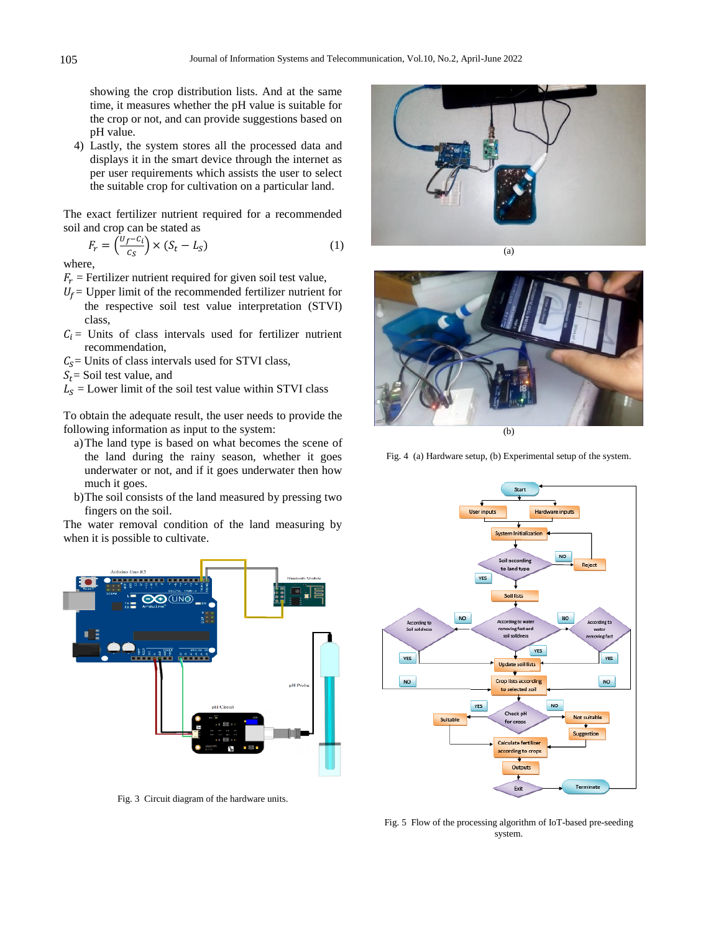showing the crop distribution lists. And at the same time, it measures whether the pH value is suitable for the crop or not, and can provide suggestions based on pH value.

4) Lastly, the system stores all the processed data and displays it in the smart device through the internet as per user requirements which assists the user to select the suitable crop for cultivation on a particular land.

The exact fertilizer nutrient required for a recommended soil and crop can be stated as

$$
F_r = \left(\frac{U_f - C_i}{C_S}\right) \times \left(S_t - L_S\right) \tag{1}
$$

where,

- $F_r$  = Fertilizer nutrient required for given soil test value,
- $U_f$  Upper limit of the recommended fertilizer nutrient for the respective soil test value interpretation (STVI) class,
- $C_i$  = Units of class intervals used for fertilizer nutrient recommendation,
- $C<sub>S</sub>$  = Units of class intervals used for STVI class,
- $S_t$  = Soil test value, and
- $L<sub>S</sub>$  = Lower limit of the soil test value within STVI class

To obtain the adequate result, the user needs to provide the following information as input to the system:

- a)The land type is based on what becomes the scene of the land during the rainy season, whether it goes underwater or not, and if it goes underwater then how much it goes.
- b)The soil consists of the land measured by pressing two fingers on the soil.

The water removal condition of the land measuring by when it is possible to cultivate.



Fig. 3 Circuit diagram of the hardware units.





Fig. 4 (a) Hardware setup, (b) Experimental setup of the system.



Fig. 5 Flow of the processing algorithm of IoT-based pre-seeding system.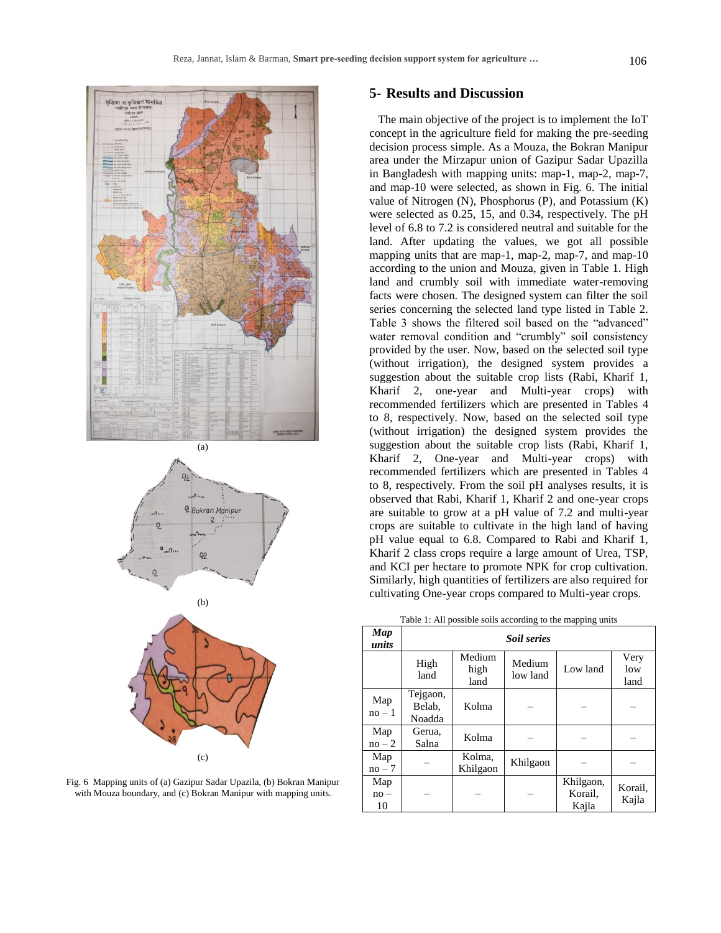

(a)



$$
(b)
$$



Fig. 6 Mapping units of (a) Gazipur Sadar Upazila, (b) Bokran Manipur with Mouza boundary, and (c) Bokran Manipur with mapping units.

## **5- Results and Discussion**

The main objective of the project is to implement the IoT concept in the agriculture field for making the pre-seeding decision process simple. As a Mouza, the Bokran Manipur area under the Mirzapur union of Gazipur Sadar Upazilla in Bangladesh with mapping units: map-1, map-2, map-7, and map-10 were selected, as shown in Fig. 6. The initial value of Nitrogen (N), Phosphorus (P), and Potassium (K) were selected as 0.25, 15, and 0.34, respectively. The pH level of 6.8 to 7.2 is considered neutral and suitable for the land. After updating the values, we got all possible mapping units that are map-1, map-2, map-7, and map-10 according to the union and Mouza, given in Table 1. High land and crumbly soil with immediate water-removing facts were chosen. The designed system can filter the soil series concerning the selected land type listed in Table 2. Table 3 shows the filtered soil based on the "advanced" water removal condition and "crumbly" soil consistency provided by the user. Now, based on the selected soil type (without irrigation), the designed system provides a suggestion about the suitable crop lists (Rabi, Kharif 1, Kharif 2, one-year and Multi-year crops) with recommended fertilizers which are presented in Tables 4 to 8, respectively. Now, based on the selected soil type (without irrigation) the designed system provides the suggestion about the suitable crop lists (Rabi, Kharif 1, Kharif 2, One-year and Multi-year crops) with recommended fertilizers which are presented in Tables 4 to 8, respectively. From the soil pH analyses results, it is observed that Rabi, Kharif 1, Kharif 2 and one-year crops are suitable to grow at a pH value of 7.2 and multi-year crops are suitable to cultivate in the high land of having pH value equal to 6.8. Compared to Rabi and Kharif 1, Kharif 2 class crops require a large amount of Urea, TSP, and KCI per hectare to promote NPK for crop cultivation. Similarly, high quantities of fertilizers are also required for cultivating One-year crops compared to Multi-year crops.

|  | Table 1: All possible soils according to the mapping units |
|--|------------------------------------------------------------|
|  |                                                            |

| Map<br>units        | <b>Soil series</b>           |                        |                    |                               |                     |  |  |
|---------------------|------------------------------|------------------------|--------------------|-------------------------------|---------------------|--|--|
|                     | High<br>land                 | Medium<br>high<br>land | Medium<br>low land | Low land                      | Very<br>low<br>land |  |  |
| Map<br>$no-1$       | Tejgaon,<br>Belab.<br>Noadda | Kolma                  |                    |                               |                     |  |  |
| Map<br>$no-2$       | Gerua.<br>Salna              | Kolma                  |                    |                               |                     |  |  |
| Map<br>$no-7$       |                              | Kolma,<br>Khilgaon     | Khilgaon           |                               |                     |  |  |
| Map<br>$no -$<br>10 |                              |                        |                    | Khilgaon,<br>Korail,<br>Kajla | Korail,<br>Kajla    |  |  |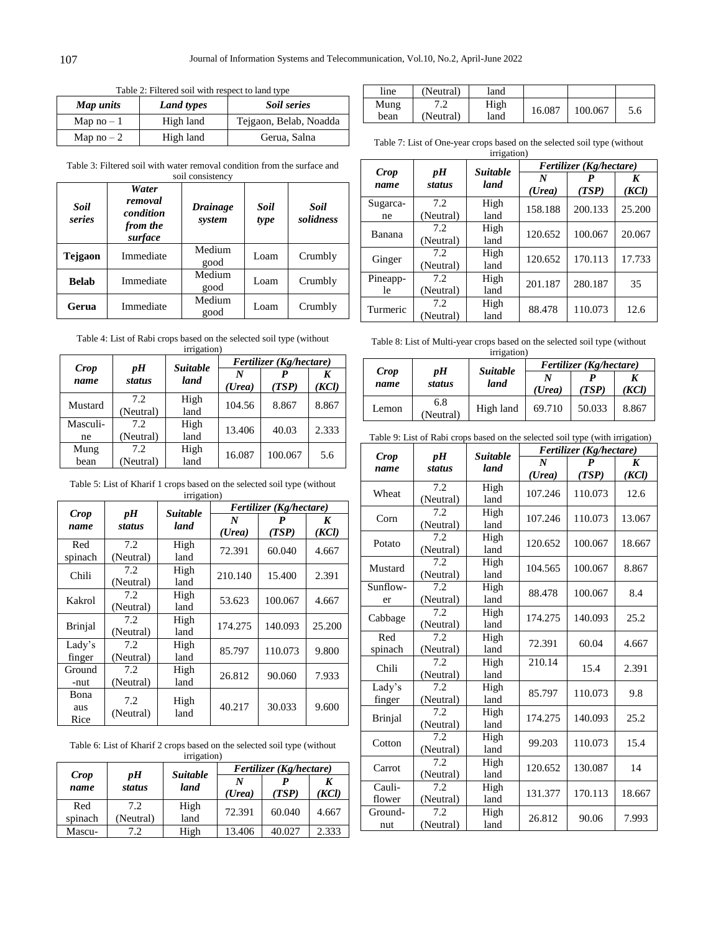┑

Table 2: Filtered soil with respect to land type

| Map units  | <b>Land types</b> | Soil series            |
|------------|-------------------|------------------------|
| Map $no-1$ | High land         | Tejgaon, Belab, Noadda |
| Map $no-2$ | High land         | Gerua, Salna           |

line (Neutral) land Mung bean 7.2 (Neutral) High<br>land 16.087 100.067 5.6

Table 7: List of One-year crops based on the selected soil type (without irrigation)

|                |                  | <b>Suitable</b> | Fertilizer (Kg/hectare) |            |            |
|----------------|------------------|-----------------|-------------------------|------------|------------|
| Crop<br>name   | pH<br>status     | land            | N<br>(Urea)             | P<br>(TSP) | K<br>(KCl) |
| Sugarca-<br>ne | 7.2<br>(Neutral) | High<br>land    | 158.188                 | 200.133    | 25.200     |
| Banana         | 7.2<br>(Neutral) | High<br>land    | 120.652                 | 100.067    | 20.067     |
| Ginger         | 7.2<br>(Neutral) | High<br>land    | 120.652                 | 170.113    | 17.733     |
| Pineapp-<br>le | 7.2<br>(Neutral) | High<br>land    | 201.187                 | 280.187    | 35         |
| Turmeric       | 7.2<br>(Neutral) | High<br>land    | 88.478                  | 110.073    | 12.6       |

Table 3: Filtered soil with water removal condition from the surface and soil consistency  $\top$ *Water*  ┱

| Soil<br>series | water<br>removal<br>condition<br>from the<br>surface | <b>Drainage</b><br>system | Soil<br>type | Soil<br>solidness |
|----------------|------------------------------------------------------|---------------------------|--------------|-------------------|
| <b>Tejgaon</b> | Immediate                                            | Medium<br>good            | Loam         | Crumbly           |
| <b>Belab</b>   | Immediate                                            | Medium<br>good            | Loam         | Crumbly           |
| Gerua          | Immediate                                            | Medium<br>good            |              | Crumbly           |

Table 4: List of Rabi crops based on the selected soil type (without

|                | irrigation)       |                 |             |                         |            |  |  |
|----------------|-------------------|-----------------|-------------|-------------------------|------------|--|--|
|                |                   | <b>Suitable</b> |             | Fertilizer (Kg/hectare) |            |  |  |
| Crop<br>name   | pH<br>status      | land            | N<br>(Urea) | (TSP)                   | K<br>(KCl) |  |  |
| Mustard        | 7.2<br>(Neutral)  | High<br>land    | 104.56      | 8.867                   | 8.867      |  |  |
| Masculi-<br>ne | 7.2.<br>(Neutral) | High<br>land    | 13.406      | 40.03                   | 2.333      |  |  |
| Mung<br>bean   | 7.2<br>(Neutral)  | High<br>land    | 16.087      | 100.067                 | 5.6        |  |  |

Table 5: List of Kharif 1 crops based on the selected soil type (without irrigation)

| Crop           | pH        | <b>Suitable</b> | Fertilizer (Kg/hectare) |         |        |
|----------------|-----------|-----------------|-------------------------|---------|--------|
| name           | status    | land            | N                       | P       | K      |
|                |           |                 | (Urea)                  | (TSP)   | (KCl)  |
| Red            | 7.2       | High            | 72.391                  | 60.040  | 4.667  |
| spinach        | (Neutral) | land            |                         |         |        |
| Chili          | 7.2       | High            | 210.140                 | 15.400  | 2.391  |
|                | (Neutral) | land            |                         |         |        |
| Kakrol         | 7.2       | High            | 53.623                  | 100.067 | 4.667  |
|                | (Neutral) | land            |                         |         |        |
| <b>Brinjal</b> | 7.2       | High            | 174.275                 | 140.093 | 25.200 |
|                | (Neutral) | land            |                         |         |        |
| Lady's         | 7.2       | High            | 85.797                  | 110.073 | 9.800  |
| finger         | (Neutral) | land            |                         |         |        |
| Ground         | 7.2       | High            | 26.812                  | 90.060  | 7.933  |
| -nut           | (Neutral) | land            |                         |         |        |
| Bona           | 7.2       | High            |                         |         |        |
| aus            | (Neutral) | land            | 40.217                  | 30.033  | 9.600  |
| Rice           |           |                 |                         |         |        |

Table 6: List of Kharif 2 crops based on the selected soil type (without

| irrigation)  |                     |                         |                         |        |       |  |
|--------------|---------------------|-------------------------|-------------------------|--------|-------|--|
|              |                     | <b>Suitable</b><br>land | Fertilizer (Kg/hectare) |        |       |  |
| Crop<br>name | pН<br><b>status</b> |                         | N                       |        | K     |  |
|              |                     |                         | (Urea)                  | (TSP)  | (KCl) |  |
| Red          | 7.2                 | High                    | 72.391                  | 60.040 | 4.667 |  |
| spinach      | (Neutral)           | land                    |                         |        |       |  |
| Mascu-       | 7.2                 | High                    | 13.406                  | 40.027 | 2.333 |  |

Table 8: List of Multi-year crops based on the selected soil type (without

| irrigation)  |                  |                         |                         |        |       |  |
|--------------|------------------|-------------------------|-------------------------|--------|-------|--|
|              |                  |                         | Fertilizer (Kg/hectare) |        |       |  |
| Crop<br>name | pН<br>status     | <i>Suitable</i><br>land | N<br>(Urea)             | TSP)   | (KCl) |  |
| Lemon        | 6.8<br>(Neutral) | High land               | 69.710                  | 50.033 | 8.867 |  |

```
Table 9: List of Rabi crops based on the selected soil type (with irrigation)
```

|          |               | <b>Suitable</b> | Fertilizer (Kg/hectare) |         |                  |  |
|----------|---------------|-----------------|-------------------------|---------|------------------|--|
| Crop     | pH            |                 | N                       | P       | $\boldsymbol{K}$ |  |
| name     | <b>status</b> | land            | (Urea)                  | (TSP)   | (KCl)            |  |
| Wheat    | 7.2           | High            | 107.246                 | 110.073 | 12.6             |  |
|          | (Neutral)     | land            |                         |         |                  |  |
| Corn     | 7.2           | High            | 107.246                 | 110.073 | 13.067           |  |
|          | (Neutral)     | land            |                         |         |                  |  |
| Potato   | 7.2           | High            | 120.652                 | 100.067 | 18.667           |  |
|          | (Neutral)     | land            |                         |         |                  |  |
| Mustard  | 7.2           | High            | 104.565                 | 100.067 | 8.867            |  |
|          | (Neutral)     | land            |                         |         |                  |  |
| Sunflow- | 7.2           | High            | 88.478                  | 100.067 | 8.4              |  |
| er       | (Neutral)     | land            |                         |         |                  |  |
| Cabbage  | 7.2           | High            | 174.275                 | 140.093 | 25.2             |  |
|          | (Neutral)     | land            |                         |         |                  |  |
| Red      | 7.2           | High            | 72.391                  | 60.04   | 4.667            |  |
| spinach  | (Neutral)     | land            |                         |         |                  |  |
| Chili    | 7.2           | High            | 210.14                  | 15.4    | 2.391            |  |
|          | (Neutral)     | land            |                         |         |                  |  |
| Lady's   | 7.2           | High            | 85.797                  | 110.073 | 9.8              |  |
| finger   | (Neutral)     | land            |                         |         |                  |  |
| Brinjal  | 7.2           | High            | 174.275                 | 140.093 | 25.2             |  |
|          | (Neutral)     | land            |                         |         |                  |  |
| Cotton   | 7.2           | High            | 99.203                  | 110.073 | 15.4             |  |
|          | (Neutral)     | land            |                         |         |                  |  |
| Carrot   | 7.2           | High            | 120.652                 | 130.087 | 14               |  |
|          | (Neutral)     | land            |                         |         |                  |  |
| Cauli-   | 7.2           | High            | 131.377                 | 170.113 | 18.667           |  |
| flower   | (Neutral)     | land            |                         |         |                  |  |
| Ground-  | 7.2           | High            | 26.812                  | 90.06   | 7.993            |  |
| nut      | (Neutral)     | land            |                         |         |                  |  |

Г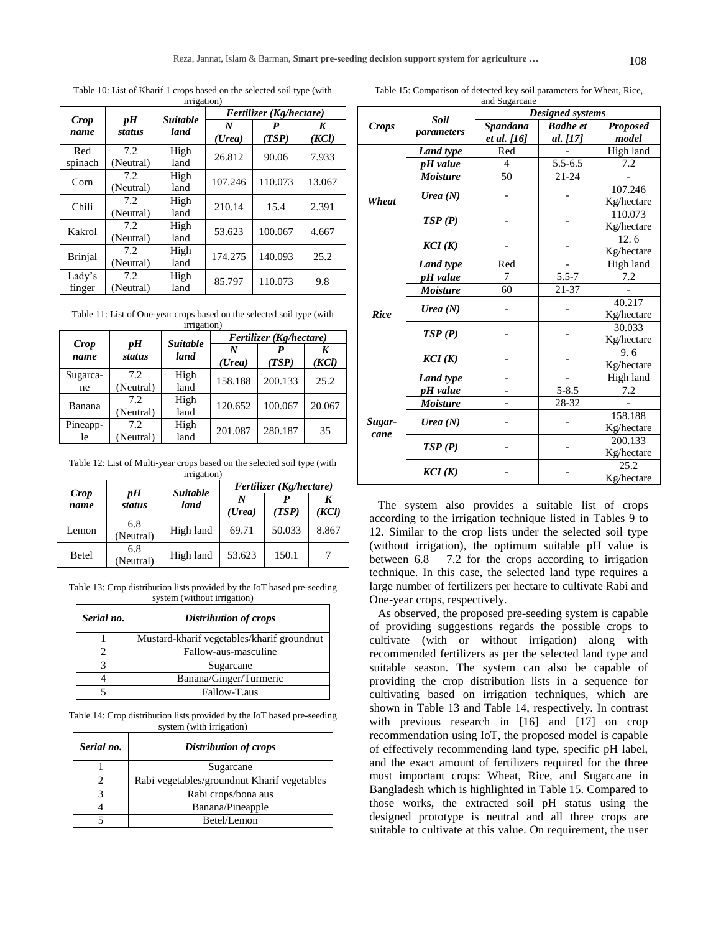Table 10: List of Kharif 1 crops based on the selected soil type (with irrigation)

| Crop             | pH               | <b>Suitable</b> | Fertilizer (Kg/hectare) |            |            |
|------------------|------------------|-----------------|-------------------------|------------|------------|
| name             | status           | land            | N<br>(Urea)             | P<br>(TSP) | K<br>(KCl) |
| Red<br>spinach   | 7.2<br>(Neutral) | High<br>land    | 26.812                  | 90.06      | 7.933      |
| Corn             | 7.2<br>(Neutral) | High<br>land    | 107.246                 | 110.073    | 13.067     |
| Chili            | 7.2<br>(Neutral) | High<br>land    | 210.14                  | 15.4       | 2.391      |
| Kakrol           | 7.2<br>(Neutral) | High<br>land    | 53.623                  | 100.067    | 4.667      |
| <b>Brinjal</b>   | 7.2<br>(Neutral) | High<br>land    | 174.275                 | 140.093    | 25.2       |
| Lady's<br>finger | 7.2<br>(Neutral) | High<br>land    | 85.797                  | 110.073    | 9.8        |

Table 11: List of One-year crops based on the selected soil type (with irrigation)

| Crop<br>name   |                     | <b>Suitable</b><br>land | Fertilizer (Kg/hectare) |         |            |
|----------------|---------------------|-------------------------|-------------------------|---------|------------|
|                | pH<br><b>status</b> |                         | N<br>(Urea)             | (TSP)   | K<br>(KCl) |
| Sugarca-<br>ne | 7.2<br>(Neutral)    | High<br>land            | 158.188                 | 200.133 | 25.2       |
| Banana         | 7.2<br>(Neutral)    | High<br>land            | 120.652                 | 100.067 | 20.067     |
| Pineapp-<br>le | 7.2<br>(Neutral)    | High<br>land            | 201.087                 | 280.187 | 35         |

Table 12: List of Multi-year crops based on the selected soil type (with

| irrigation) |                  |                         |                         |        |       |  |  |  |
|-------------|------------------|-------------------------|-------------------------|--------|-------|--|--|--|
|             |                  |                         | Fertilizer (Kg/hectare) |        |       |  |  |  |
| Crop        | pН<br>status     | <b>Suitable</b><br>land | N                       |        | K     |  |  |  |
| name        |                  |                         | (Urea)                  | (TSP)  | (KCl) |  |  |  |
| Lemon       | 6.8<br>(Neutral) | High land               | 69.71                   | 50.033 | 8.867 |  |  |  |
| Betel       | 6.8<br>(Neutral) | High land               | 53.623                  | 150.1  |       |  |  |  |

Table 13: Crop distribution lists provided by the IoT based pre-seeding system (without irrigation)

| Serial no. | <b>Distribution of crops</b>               |  |  |
|------------|--------------------------------------------|--|--|
|            | Mustard-kharif vegetables/kharif groundnut |  |  |
|            | Fallow-aus-masculine                       |  |  |
|            | Sugarcane                                  |  |  |
|            | Banana/Ginger/Turmeric                     |  |  |
|            | Fallow-T.aus                               |  |  |

Table 14: Crop distribution lists provided by the IoT based pre-seeding system (with irrigation)

| Serial no. | <b>Distribution of crops</b>                 |  |  |
|------------|----------------------------------------------|--|--|
|            | Sugarcane                                    |  |  |
|            | Rabi vegetables/ground nut Kharif vegetables |  |  |
|            | Rabi crops/bona aus                          |  |  |
|            | Banana/Pineapple                             |  |  |
|            | Betel/Lemon                                  |  |  |

| and Sugarcane  |                           |                    |                    |            |  |  |
|----------------|---------------------------|--------------------|--------------------|------------|--|--|
|                | <b>Soil</b><br>parameters | Designed systems   |                    |            |  |  |
| <b>Crops</b>   |                           | Spandana           | <b>Badhe</b> et    | Proposed   |  |  |
|                |                           | <i>et al.</i> [16] | al. [17]           | model      |  |  |
| Wheat          | <b>Land</b> type          | Red                |                    | High land  |  |  |
|                | pH value                  | $\overline{4}$     | $5.5 - 6.5$        | 7.2        |  |  |
|                | <b>Moisture</b>           | $\overline{50}$    | $21 - 24$          |            |  |  |
|                | Urea $(N)$                |                    |                    | 107.246    |  |  |
|                |                           |                    |                    | Kg/hectare |  |  |
|                | TSP(P)                    |                    |                    | 110.073    |  |  |
|                |                           |                    |                    | Kg/hectare |  |  |
|                | KCI(K)                    |                    |                    | 12.6       |  |  |
|                |                           |                    |                    | Kg/hectare |  |  |
| <b>Rice</b>    | Land type                 | Red                |                    | High land  |  |  |
|                | pH value                  | 7                  | $\overline{5.5-7}$ | 7.2        |  |  |
|                | <b>Moisture</b>           | 60                 | 21-37              |            |  |  |
|                | Urea $(N)$                |                    |                    | 40.217     |  |  |
|                |                           |                    |                    | Kg/hectare |  |  |
|                | TSP(P)                    |                    |                    | 30.033     |  |  |
|                |                           |                    |                    | Kg/hectare |  |  |
|                | KCI(K)                    |                    |                    | 9.6        |  |  |
|                |                           |                    |                    | Kg/hectare |  |  |
| Sugar-<br>cane | Land type                 |                    |                    | High land  |  |  |
|                | pH value                  |                    | $5 - 8.5$          | 7.2        |  |  |
|                | <b>Moisture</b>           |                    | 28-32              |            |  |  |
|                | Urea $(N)$                |                    |                    | 158.188    |  |  |
|                |                           |                    |                    | Kg/hectare |  |  |
|                | TSP(P)                    |                    |                    | 200.133    |  |  |
|                |                           |                    |                    | Kg/hectare |  |  |
|                | KCI(K)                    |                    |                    | 25.2       |  |  |
|                |                           |                    |                    | Kg/hectare |  |  |

The system also provides a suitable list of crops according to the irrigation technique listed in Tables 9 to 12. Similar to the crop lists under the selected soil type (without irrigation), the optimum suitable pH value is between  $6.8 - 7.2$  for the crops according to irrigation technique. In this case, the selected land type requires a large number of fertilizers per hectare to cultivate Rabi and One-year crops, respectively.

As observed, the proposed pre-seeding system is capable of providing suggestions regards the possible crops to cultivate (with or without irrigation) along with recommended fertilizers as per the selected land type and suitable season. The system can also be capable of providing the crop distribution lists in a sequence for cultivating based on irrigation techniques, which are shown in Table 13 and Table 14, respectively. In contrast with previous research in [16] and [17] on crop recommendation using IoT, the proposed model is capable of effectively recommending land type, specific pH label, and the exact amount of fertilizers required for the three most important crops: Wheat, Rice, and Sugarcane in Bangladesh which is highlighted in Table 15. Compared to those works, the extracted soil pH status using the designed prototype is neutral and all three crops are suitable to cultivate at this value. On requirement, the user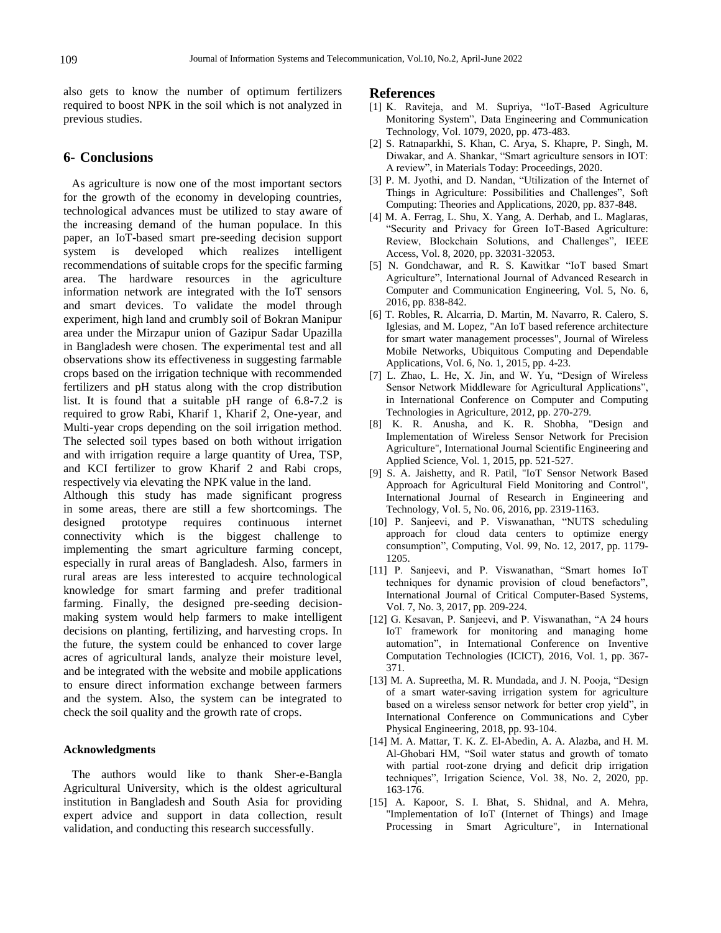also gets to know the number of optimum fertilizers required to boost NPK in the soil which is not analyzed in previous studies.

#### **6- Conclusions**

As agriculture is now one of the most important sectors for the growth of the economy in developing countries, technological advances must be utilized to stay aware of the increasing demand of the human populace. In this paper, an IoT-based smart pre-seeding decision support system is developed which realizes intelligent recommendations of suitable crops for the specific farming area. The hardware resources in the agriculture information network are integrated with the IoT sensors and smart devices. To validate the model through experiment, high land and crumbly soil of Bokran Manipur area under the Mirzapur union of Gazipur Sadar Upazilla in Bangladesh were chosen. The experimental test and all observations show its effectiveness in suggesting farmable crops based on the irrigation technique with recommended fertilizers and pH status along with the crop distribution list. It is found that a suitable pH range of 6.8-7.2 is required to grow Rabi, Kharif 1, Kharif 2, One-year, and Multi-year crops depending on the soil irrigation method. The selected soil types based on both without irrigation and with irrigation require a large quantity of Urea, TSP, and KCI fertilizer to grow Kharif 2 and Rabi crops, respectively via elevating the NPK value in the land.

Although this study has made significant progress in some areas, there are still a few shortcomings. The designed prototype requires continuous internet connectivity which is the biggest challenge to implementing the smart agriculture farming concept, especially in rural areas of Bangladesh. Also, farmers in rural areas are less interested to acquire technological knowledge for smart farming and prefer traditional farming. Finally, the designed pre-seeding decisionmaking system would help farmers to make intelligent decisions on planting, fertilizing, and harvesting crops. In the future, the system could be enhanced to cover large acres of agricultural lands, analyze their moisture level, and be integrated with the website and mobile applications to ensure direct information exchange between farmers and the system. Also, the system can be integrated to check the soil quality and the growth rate of crops.

#### **Acknowledgments**

The authors would like to thank Sher-e-Bangla Agricultural University, which is the oldest agricultural institution in Bangladesh and South Asia for providing expert advice and support in data collection, result validation, and conducting this research successfully.

#### **References**

- [1] K. Raviteja, and M. Supriya, "IoT-Based Agriculture Monitoring System", Data Engineering and Communication Technology, Vol. 1079, 2020, pp. 473-483.
- [2] S. Ratnaparkhi, S. Khan, C. Arya, S. Khapre, P. Singh, M. Diwakar, and A. Shankar, "Smart agriculture sensors in IOT: A review", in Materials Today: Proceedings, 2020.
- [3] P. M. Jyothi, and D. Nandan, "Utilization of the Internet of Things in Agriculture: Possibilities and Challenges", Soft Computing: Theories and Applications, 2020, pp. 837-848.
- [4] M. A. Ferrag, L. Shu, X. Yang, A. Derhab, and L. Maglaras, "Security and Privacy for Green IoT-Based Agriculture: Review, Blockchain Solutions, and Challenges", IEEE Access, Vol. 8, 2020, pp. 32031-32053.
- [5] N. Gondchawar, and R. S. Kawitkar "IoT based Smart Agriculture", International Journal of Advanced Research in Computer and Communication Engineering, Vol. 5, No. 6, 2016, pp. 838-842.
- [6] T. Robles, R. Alcarria, D. Martin, M. Navarro, R. Calero, S. Iglesias, and M. Lopez, "An IoT based reference architecture for smart water management processes", Journal of Wireless Mobile Networks, Ubiquitous Computing and Dependable Applications, Vol. 6, No. 1, 2015, pp. 4-23.
- [7] L. Zhao, L. He, X. Jin, and W. Yu, "Design of Wireless Sensor Network Middleware for Agricultural Applications", in International Conference on Computer and Computing Technologies in Agriculture, 2012, pp. 270-279.
- [8] K. R. Anusha, and K. R. Shobha, "Design and Implementation of Wireless Sensor Network for Precision Agriculture", International Journal Scientific Engineering and Applied Science, Vol. 1, 2015, pp. 521-527.
- [9] S. A. Jaishetty, and R. Patil, "IoT Sensor Network Based Approach for Agricultural Field Monitoring and Control", International Journal of Research in Engineering and Technology, Vol. 5, No. 06, 2016, pp. 2319-1163.
- [10] P. Sanjeevi, and P. Viswanathan, "NUTS scheduling approach for cloud data centers to optimize energy consumption", Computing, Vol. 99, No. 12, 2017, pp. 1179- 1205.
- [11] P. Sanjeevi, and P. Viswanathan, "Smart homes IoT techniques for dynamic provision of cloud benefactors", International Journal of Critical Computer-Based Systems, Vol. 7, No. 3, 2017, pp. 209-224.
- [12] G. Kesavan, P. Sanjeevi, and P. Viswanathan, "A 24 hours IoT framework for monitoring and managing home automation", in International Conference on Inventive Computation Technologies (ICICT), 2016, Vol. 1, pp. 367- 371.
- [13] M. A. Supreetha, M. R. Mundada, and J. N. Pooja, "Design of a smart water-saving irrigation system for agriculture based on a wireless sensor network for better crop yield", in International Conference on Communications and Cyber Physical Engineering, 2018, pp. 93-104.
- [14] M. A. Mattar, T. K. Z. El-Abedin, A. A. Alazba, and H. M. Al-Ghobari HM, "Soil water status and growth of tomato with partial root-zone drying and deficit drip irrigation techniques", Irrigation Science, Vol. 38, No. 2, 2020, pp. 163-176.
- [15] A. Kapoor, S. I. Bhat, S. Shidnal, and A. Mehra, "Implementation of IoT (Internet of Things) and Image Processing in Smart Agriculture", in International